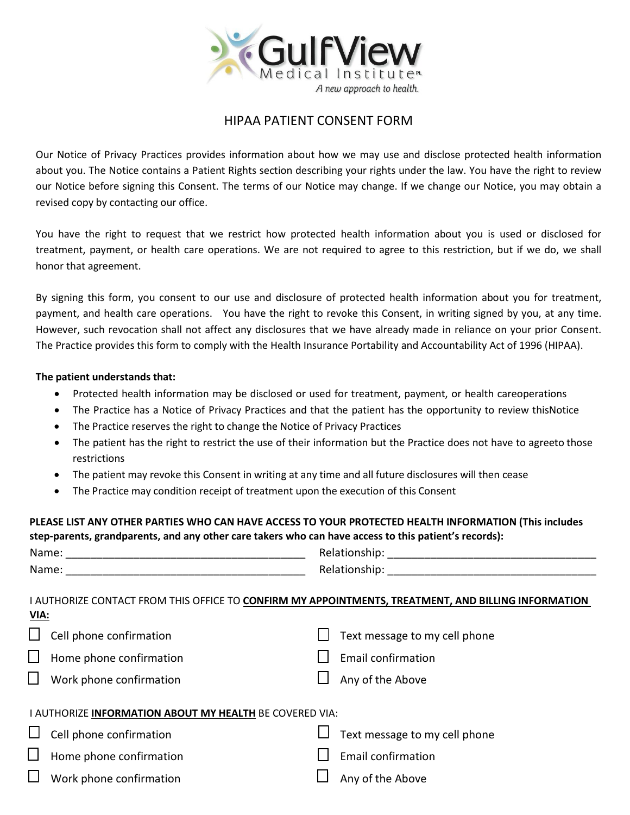

## HIPAA PATIENT CONSENT FORM

Our Notice of Privacy Practices provides information about how we may use and disclose protected health information about you. The Notice contains a Patient Rights section describing your rights under the law. You have the right to review our Notice before signing this Consent. The terms of our Notice may change. If we change our Notice, you may obtain a revised copy by contacting our office.

You have the right to request that we restrict how protected health information about you is used or disclosed for treatment, payment, or health care operations. We are not required to agree to this restriction, but if we do, we shall honor that agreement.

By signing this form, you consent to our use and disclosure of protected health information about you for treatment, payment, and health care operations. You have the right to revoke this Consent, in writing signed by you, at any time. However, such revocation shall not affect any disclosures that we have already made in reliance on your prior Consent. The Practice provides this form to comply with the Health Insurance Portability and Accountability Act of 1996 (HIPAA).

## **The patient understands that:**

- Protected health information may be disclosed or used for treatment, payment, or health careoperations
- The Practice has a Notice of Privacy Practices and that the patient has the opportunity to review thisNotice
- The Practice reserves the right to change the Notice of Privacy Practices
- The patient has the right to restrict the use of their information but the Practice does not have to agreeto those restrictions
- The patient may revoke this Consent in writing at any time and all future disclosures will then cease
- The Practice may condition receipt of treatment upon the execution of this Consent

## **PLEASE LIST ANY OTHER PARTIES WHO CAN HAVE ACCESS TO YOUR PROTECTED HEALTH INFORMATION (This includes step-parents, grandparents, and any other care takers who can have access to this patient's records):**

| <b>VIA:</b> | I AUTHORIZE CONTACT FROM THIS OFFICE TO CONFIRM MY APPOINTMENTS, TREATMENT, AND BILLING INFORMATION |  |                               |  |  |  |
|-------------|-----------------------------------------------------------------------------------------------------|--|-------------------------------|--|--|--|
|             | Cell phone confirmation                                                                             |  | Text message to my cell phone |  |  |  |
| $\Box$      | Home phone confirmation                                                                             |  | <b>Email confirmation</b>     |  |  |  |
| $\Box$      | Work phone confirmation                                                                             |  | Any of the Above              |  |  |  |
|             | I AUTHORIZE INFORMATION ABOUT MY HEALTH BE COVERED VIA:                                             |  |                               |  |  |  |
|             | Cell phone confirmation                                                                             |  | Text message to my cell phone |  |  |  |
| $\Box$      | Home phone confirmation                                                                             |  | <b>Email confirmation</b>     |  |  |  |
| $\Box$      | Work phone confirmation                                                                             |  | Any of the Above              |  |  |  |